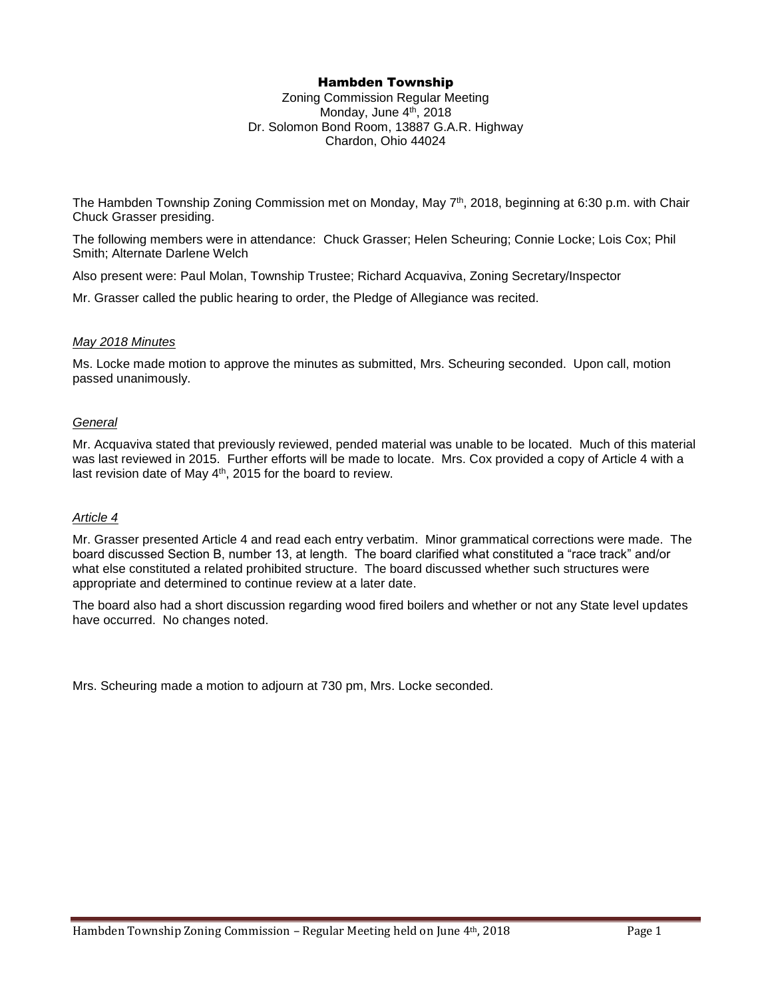## Hambden Township

Zoning Commission Regular Meeting Monday, June 4th, 2018 Dr. Solomon Bond Room, 13887 G.A.R. Highway Chardon, Ohio 44024

The Hambden Township Zoning Commission met on Monday, May 7th, 2018, beginning at 6:30 p.m. with Chair Chuck Grasser presiding.

The following members were in attendance: Chuck Grasser; Helen Scheuring; Connie Locke; Lois Cox; Phil Smith; Alternate Darlene Welch

Also present were: Paul Molan, Township Trustee; Richard Acquaviva, Zoning Secretary/Inspector

Mr. Grasser called the public hearing to order, the Pledge of Allegiance was recited.

## *May 2018 Minutes*

Ms. Locke made motion to approve the minutes as submitted, Mrs. Scheuring seconded. Upon call, motion passed unanimously.

## *General*

Mr. Acquaviva stated that previously reviewed, pended material was unable to be located. Much of this material was last reviewed in 2015. Further efforts will be made to locate. Mrs. Cox provided a copy of Article 4 with a last revision date of May 4<sup>th</sup>, 2015 for the board to review.

## *Article 4*

Mr. Grasser presented Article 4 and read each entry verbatim. Minor grammatical corrections were made. The board discussed Section B, number 13, at length. The board clarified what constituted a "race track" and/or what else constituted a related prohibited structure. The board discussed whether such structures were appropriate and determined to continue review at a later date.

The board also had a short discussion regarding wood fired boilers and whether or not any State level updates have occurred. No changes noted.

Mrs. Scheuring made a motion to adjourn at 730 pm, Mrs. Locke seconded.